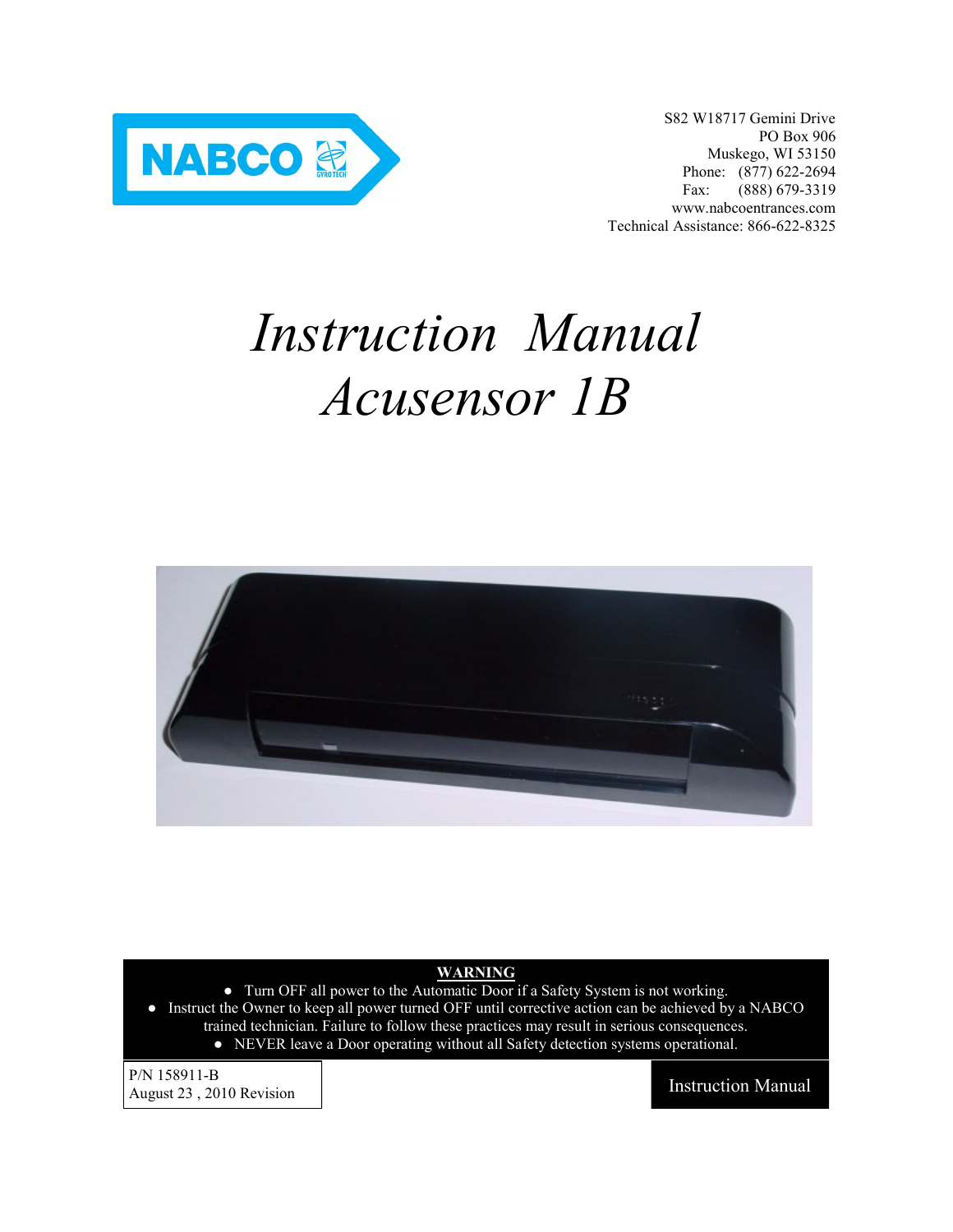

S82 W18717 Gemini Drive PO Box 906 Muskego, WI 53150 Phone: (877) 622-2694 Fax: (888) 679-3319 www.nabcoentrances.com Technical Assistance: 866-622-8325

# *Instruction Manual Acusensor 1B*



#### **WARNING**

- Turn OFF all power to the Automatic Door if a Safety System is not working.
- Instruct the Owner to keep all power turned OFF until corrective action can be achieved by a NABCO trained technician. Failure to follow these practices may result in serious consequences.
	- NEVER leave a Door operating without all Safety detection systems operational.

P/N 158911-B August 23, 2010 Revision Instruction Manual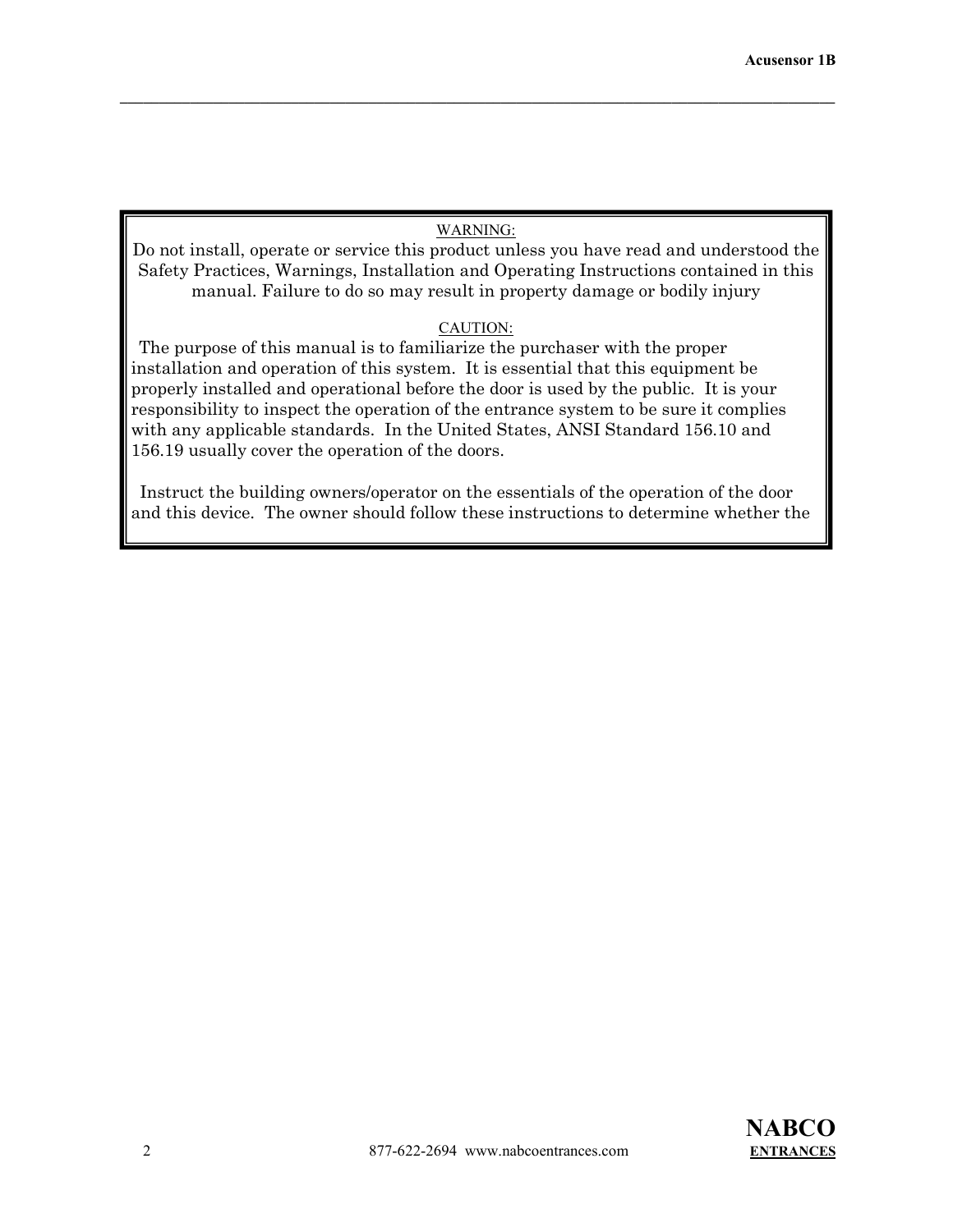## WARNING:

 $\mathcal{L} = \{ \mathcal{L} \mathcal{L} \mathcal{L} \mathcal{L} \mathcal{L} \mathcal{L} \mathcal{L} \mathcal{L} \mathcal{L} \mathcal{L} \mathcal{L} \mathcal{L} \mathcal{L} \mathcal{L} \mathcal{L} \mathcal{L} \mathcal{L} \mathcal{L} \mathcal{L} \mathcal{L} \mathcal{L} \mathcal{L} \mathcal{L} \mathcal{L} \mathcal{L} \mathcal{L} \mathcal{L} \mathcal{L} \mathcal{L} \mathcal{L} \mathcal{L} \mathcal{L} \mathcal{L} \mathcal{L} \mathcal{L} \$ 

Do not install, operate or service this product unless you have read and understood the Safety Practices, Warnings, Installation and Operating Instructions contained in this manual. Failure to do so may result in property damage or bodily injury

#### CAUTION:

 The purpose of this manual is to familiarize the purchaser with the proper installation and operation of this system. It is essential that this equipment be properly installed and operational before the door is used by the public. It is your responsibility to inspect the operation of the entrance system to be sure it complies with any applicable standards. In the United States, ANSI Standard 156.10 and 156.19 usually cover the operation of the doors.

 Instruct the building owners/operator on the essentials of the operation of the door and this device. The owner should follow these instructions to determine whether the

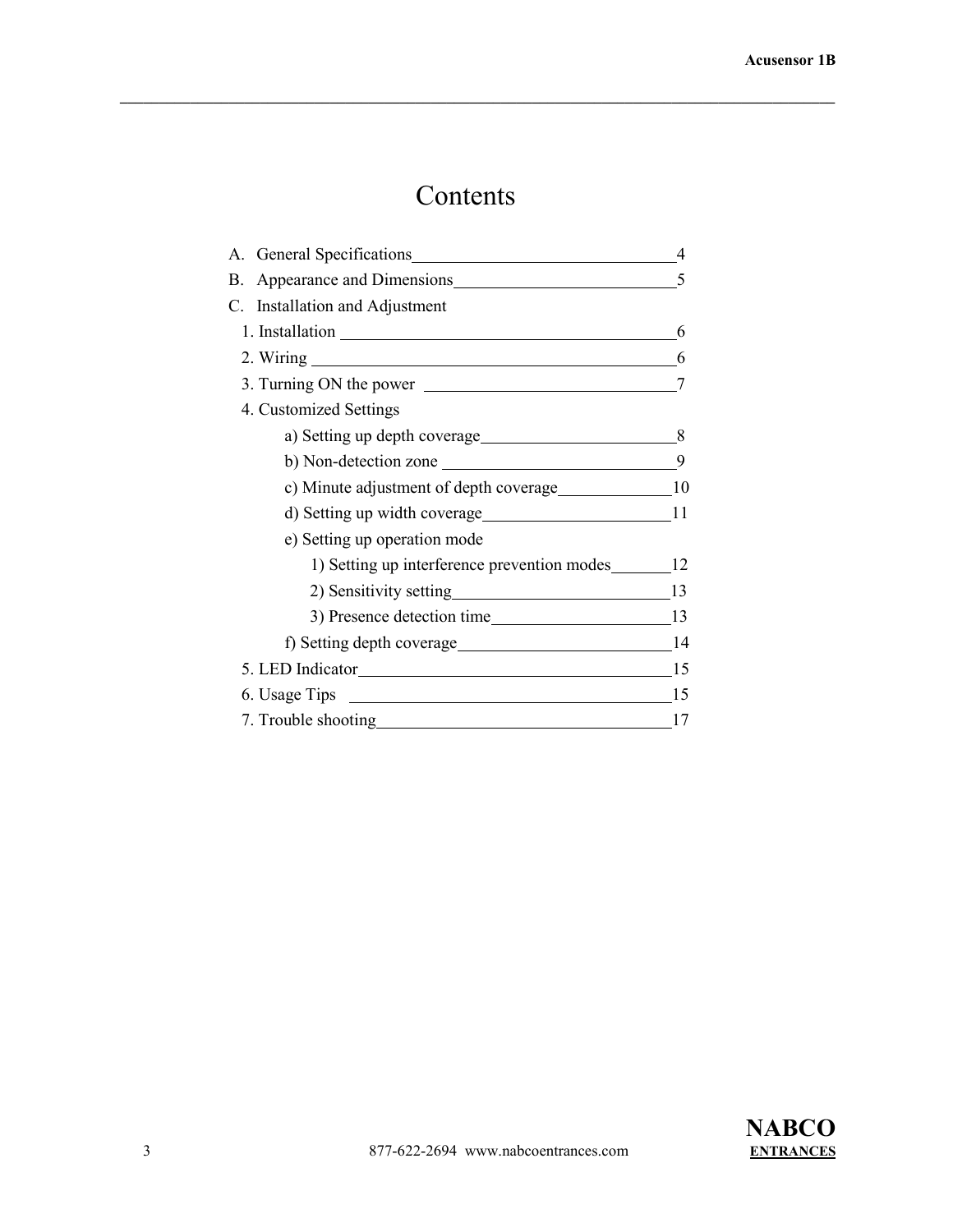# Contents

| A. General Specifications 4                    |    |
|------------------------------------------------|----|
| Appearance and Dimensions 5<br>В.              |    |
| C. Installation and Adjustment                 |    |
| 1. Installation 6                              |    |
| 2. Wiring 6                                    |    |
|                                                |    |
| 4. Customized Settings                         |    |
|                                                |    |
| b) Non-detection zone $\qquad \qquad \qquad 9$ |    |
| c) Minute adjustment of depth coverage 10      |    |
|                                                |    |
| e) Setting up operation mode                   |    |
| 1) Setting up interference prevention modes 12 |    |
| 2) Sensitivity setting 13                      |    |
|                                                |    |
|                                                |    |
|                                                |    |
| 6. Usage Tips 15                               |    |
| 7. Trouble shooting<br><u>Leadenborned</u>     | 17 |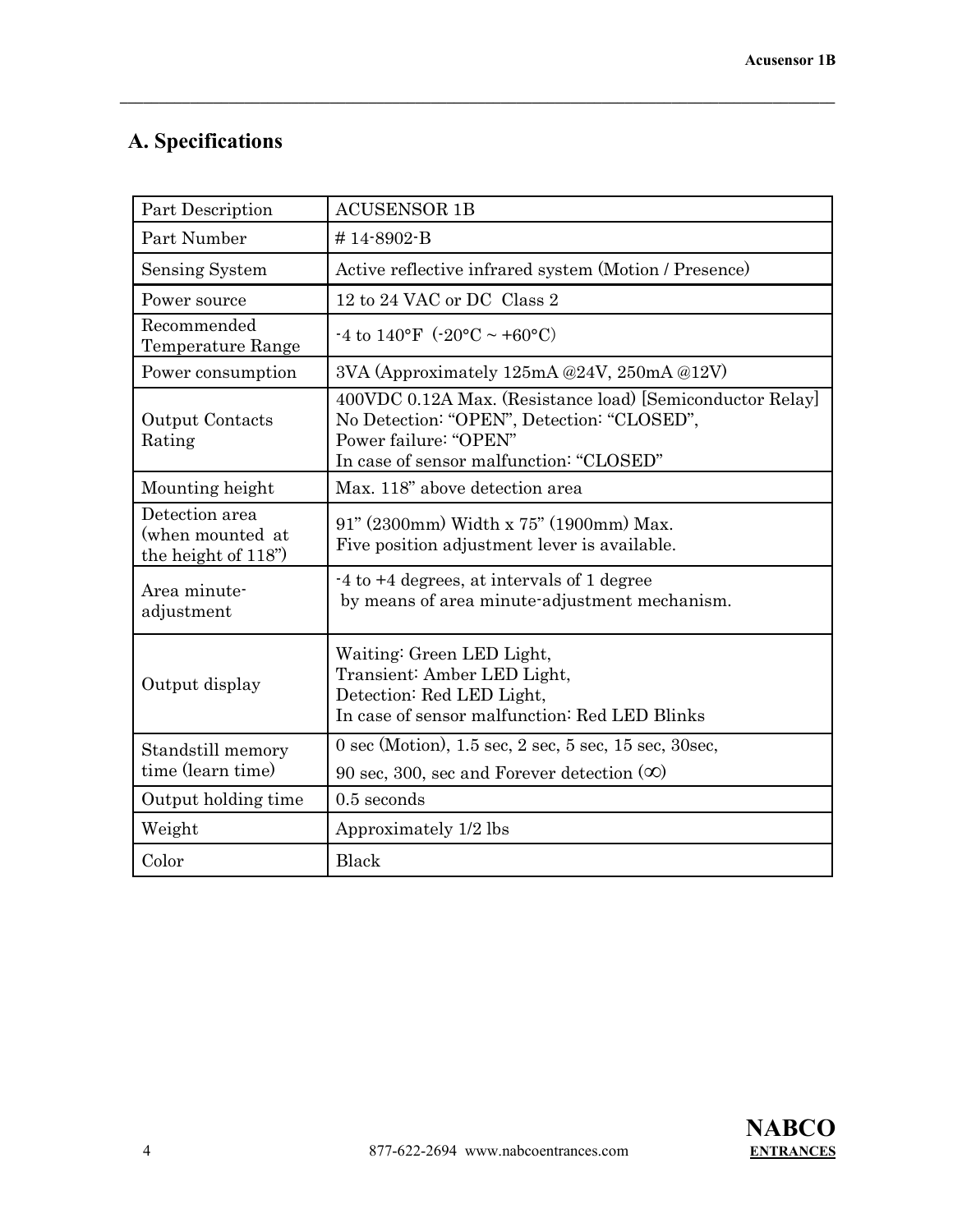# **A. Specifications**

| Part Description                                          | <b>ACUSENSOR 1B</b>                                                                                                                                                         |
|-----------------------------------------------------------|-----------------------------------------------------------------------------------------------------------------------------------------------------------------------------|
| Part Number                                               | #14-8902-B                                                                                                                                                                  |
| <b>Sensing System</b>                                     | Active reflective infrared system (Motion / Presence)                                                                                                                       |
| Power source                                              | 12 to 24 VAC or DC Class 2                                                                                                                                                  |
| Recommended<br>Temperature Range                          | -4 to $140^{\circ}$ F (-20°C ~ +60°C)                                                                                                                                       |
| Power consumption                                         | 3VA (Approximately 125mA @24V, 250mA @12V)                                                                                                                                  |
| Output Contacts<br>Rating                                 | 400VDC 0.12A Max. (Resistance load) [Semiconductor Relay]<br>No Detection: "OPEN", Detection: "CLOSED",<br>Power failure: "OPEN"<br>In case of sensor malfunction: "CLOSED" |
| Mounting height                                           | Max. 118" above detection area                                                                                                                                              |
| Detection area<br>(when mounted at<br>the height of 118") | 91" (2300mm) Width x 75" (1900mm) Max.<br>Five position adjustment lever is available.                                                                                      |
| Area minute-<br>adjustment                                | $-4$ to $+4$ degrees, at intervals of 1 degree<br>by means of area minute-adjustment mechanism.                                                                             |
| Output display                                            | Waiting: Green LED Light,<br>Transient: Amber LED Light,<br>Detection: Red LED Light,<br>In case of sensor malfunction: Red LED Blinks                                      |
| Standstill memory<br>time (learn time)                    | $0 \text{ sec}$ (Motion), 1.5 sec, 2 sec, 5 sec, 15 sec, 30 sec,<br>90 sec, 300, sec and Forever detection $(\infty)$                                                       |
| Output holding time                                       | $0.5$ seconds                                                                                                                                                               |
| Weight                                                    | Approximately 1/2 lbs                                                                                                                                                       |
| Color                                                     | Black                                                                                                                                                                       |

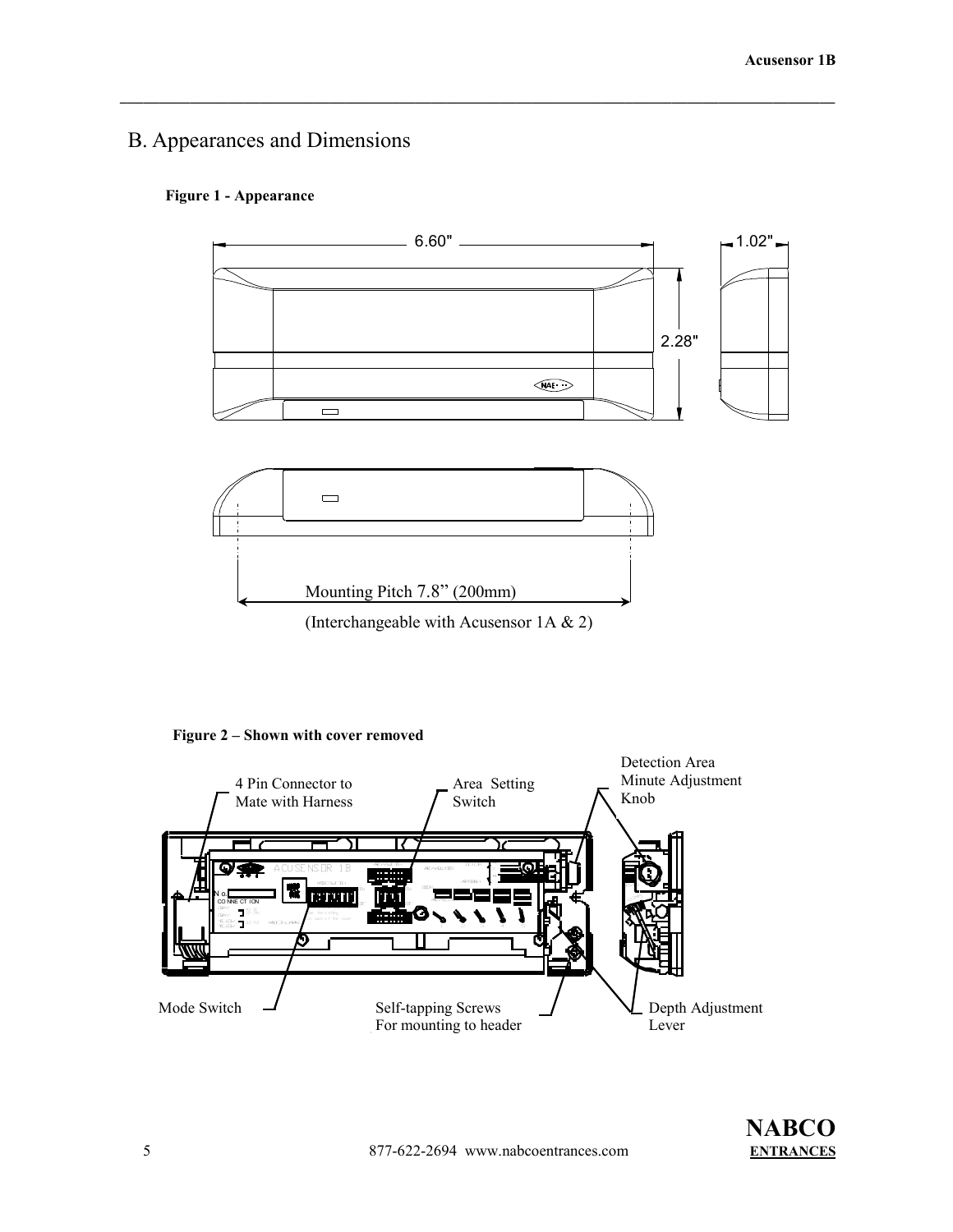# B. Appearances and Dimensions

#### **Figure 1 - Appearance**



**Figure 2 – Shown with cover removed**

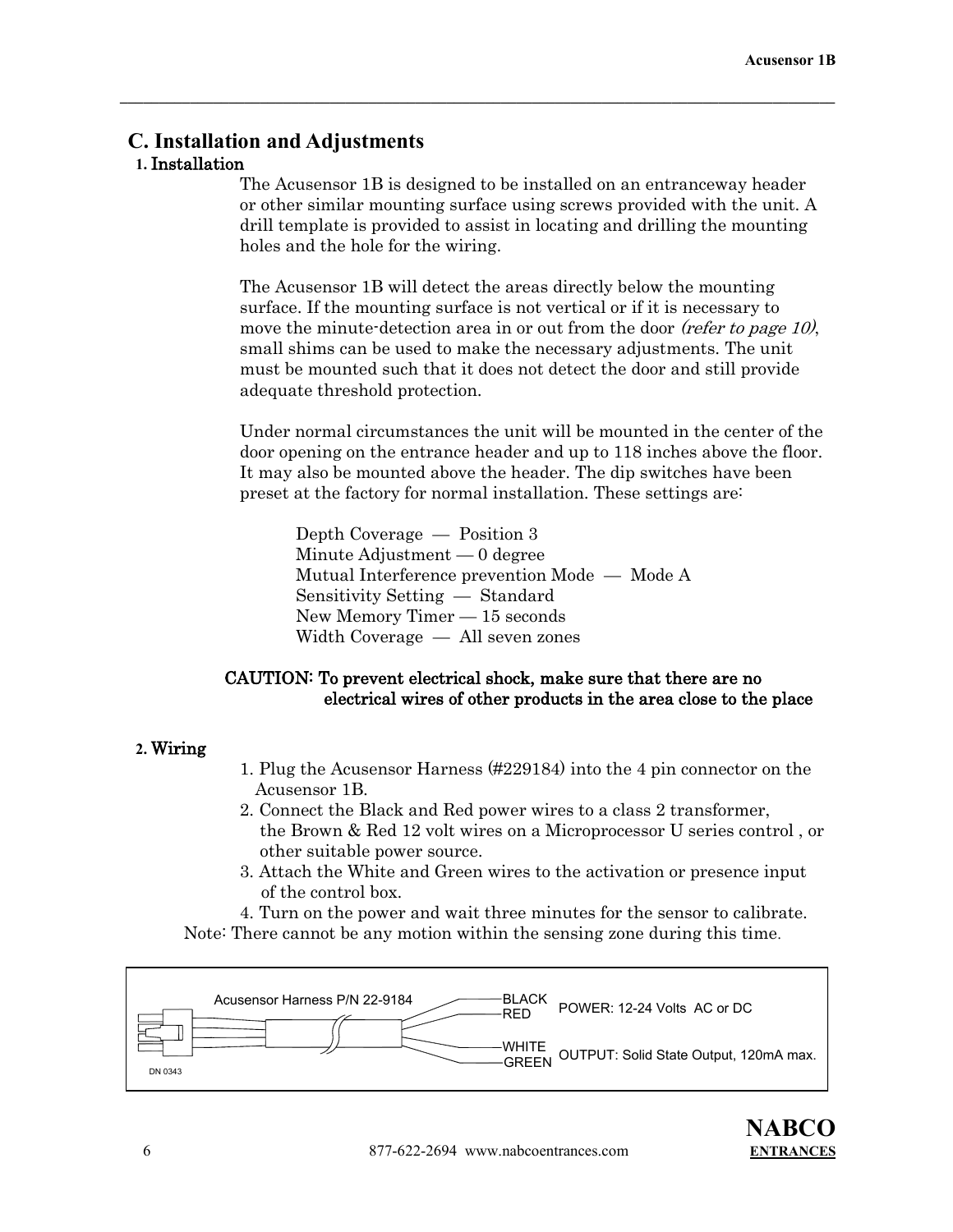# **C. Installation and Adjustments**

# **1.** Installation

The Acusensor 1B is designed to be installed on an entranceway header or other similar mounting surface using screws provided with the unit. A drill template is provided to assist in locating and drilling the mounting holes and the hole for the wiring.

 $\mathcal{L} = \{ \mathcal{L} \mathcal{L} \mathcal{L} \mathcal{L} \mathcal{L} \mathcal{L} \mathcal{L} \mathcal{L} \mathcal{L} \mathcal{L} \mathcal{L} \mathcal{L} \mathcal{L} \mathcal{L} \mathcal{L} \mathcal{L} \mathcal{L} \mathcal{L} \mathcal{L} \mathcal{L} \mathcal{L} \mathcal{L} \mathcal{L} \mathcal{L} \mathcal{L} \mathcal{L} \mathcal{L} \mathcal{L} \mathcal{L} \mathcal{L} \mathcal{L} \mathcal{L} \mathcal{L} \mathcal{L} \mathcal{L} \$ 

 The Acusensor 1B will detect the areas directly below the mounting surface. If the mounting surface is not vertical or if it is necessary to move the minute-detection area in or out from the door *(refer to page 10)*, small shims can be used to make the necessary adjustments. The unit must be mounted such that it does not detect the door and still provide adequate threshold protection.

 Under normal circumstances the unit will be mounted in the center of the door opening on the entrance header and up to 118 inches above the floor. It may also be mounted above the header. The dip switches have been preset at the factory for normal installation. These settings are:

Depth Coverage — Position 3 Minute Adjustment — 0 degree Mutual Interference prevention Mode — Mode A Sensitivity Setting — Standard New Memory Timer — 15 seconds Width Coverage — All seven zones

## CAUTION: To prevent electrical shock, make sure that there are no electrical wires of other products in the area close to the place

#### **2.** Wiring

- 1. Plug the Acusensor Harness (#229184) into the 4 pin connector on the Acusensor 1B.
- 2. Connect the Black and Red power wires to a class 2 transformer, the Brown & Red 12 volt wires on a Microprocessor U series control , or other suitable power source.
- 3. Attach the White and Green wires to the activation or presence input of the control box.

4. Turn on the power and wait three minutes for the sensor to calibrate. Note: There cannot be any motion within the sensing zone during this time.

| Acusensor Harness P/N 22-9184 | RED | <b>BLACK</b><br>POWER: 12-24 Volts AC or DC             |
|-------------------------------|-----|---------------------------------------------------------|
| DN 0343                       |     | -WHITE<br>-GREEN_OUTPUT: Solid State Output, 120mA max. |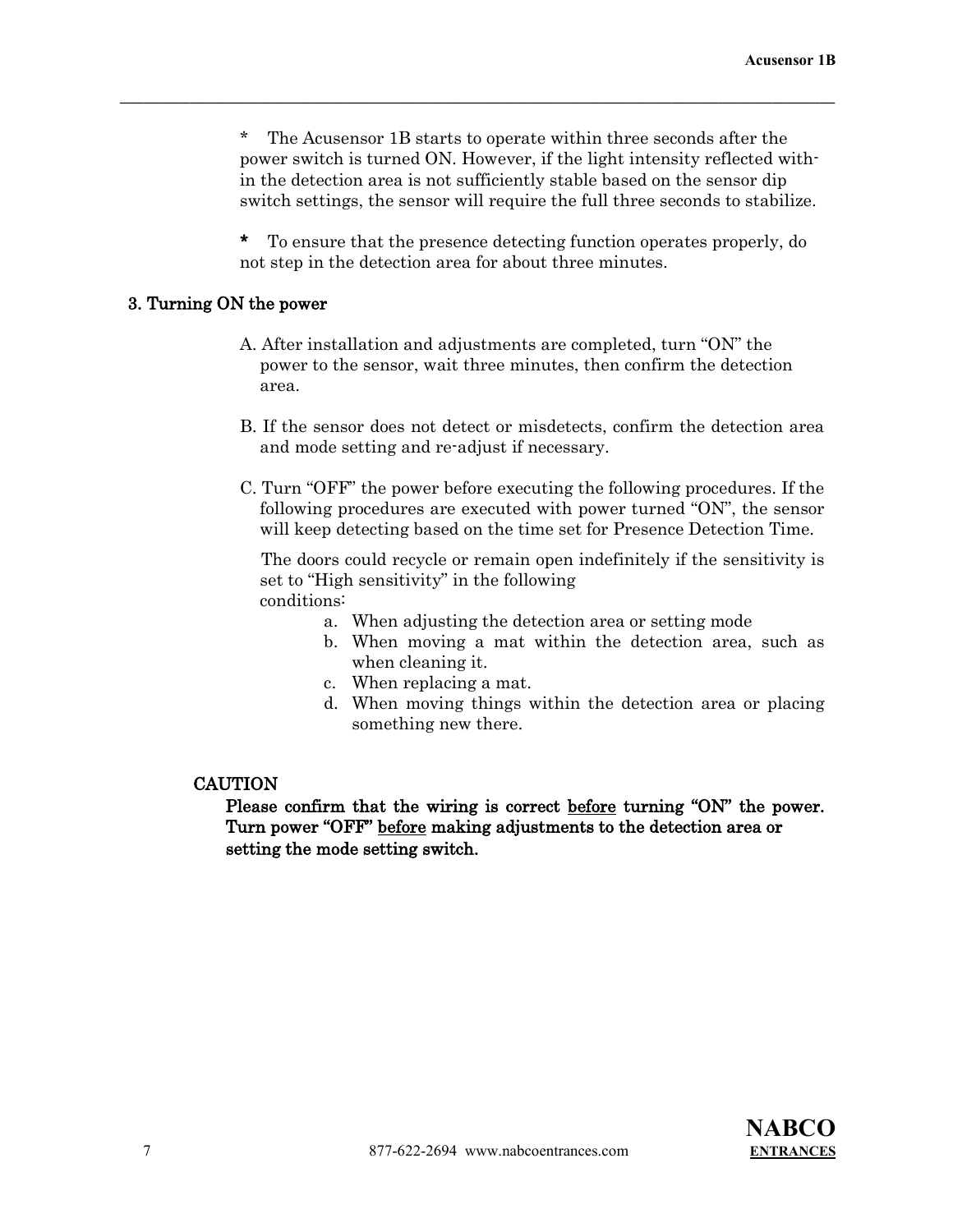The Acusensor 1B starts to operate within three seconds after the power switch is turned ON. However, if the light intensity reflected within the detection area is not sufficiently stable based on the sensor dip switch settings, the sensor will require the full three seconds to stabilize.

 $\mathcal{L} = \{ \mathcal{L} \mathcal{L} \mathcal{L} \mathcal{L} \mathcal{L} \mathcal{L} \mathcal{L} \mathcal{L} \mathcal{L} \mathcal{L} \mathcal{L} \mathcal{L} \mathcal{L} \mathcal{L} \mathcal{L} \mathcal{L} \mathcal{L} \mathcal{L} \mathcal{L} \mathcal{L} \mathcal{L} \mathcal{L} \mathcal{L} \mathcal{L} \mathcal{L} \mathcal{L} \mathcal{L} \mathcal{L} \mathcal{L} \mathcal{L} \mathcal{L} \mathcal{L} \mathcal{L} \mathcal{L} \mathcal{L} \$ 

 \* To ensure that the presence detecting function operates properly, do not step in the detection area for about three minutes.

#### 3. Turning ON the power

- A. After installation and adjustments are completed, turn "ON" the power to the sensor, wait three minutes, then confirm the detection area.
- B. If the sensor does not detect or misdetects, confirm the detection area and mode setting and re-adjust if necessary.
- C. Turn "OFF" the power before executing the following procedures. If the following procedures are executed with power turned "ON", the sensor will keep detecting based on the time set for Presence Detection Time.

 The doors could recycle or remain open indefinitely if the sensitivity is set to "High sensitivity" in the following conditions:

- a. When adjusting the detection area or setting mode
- b. When moving a mat within the detection area, such as when cleaning it.
- c. When replacing a mat.
- d. When moving things within the detection area or placing something new there.

#### **CAUTION**

 Please confirm that the wiring is correct before turning "ON" the power. Turn power "OFF" before making adjustments to the detection area or setting the mode setting switch.

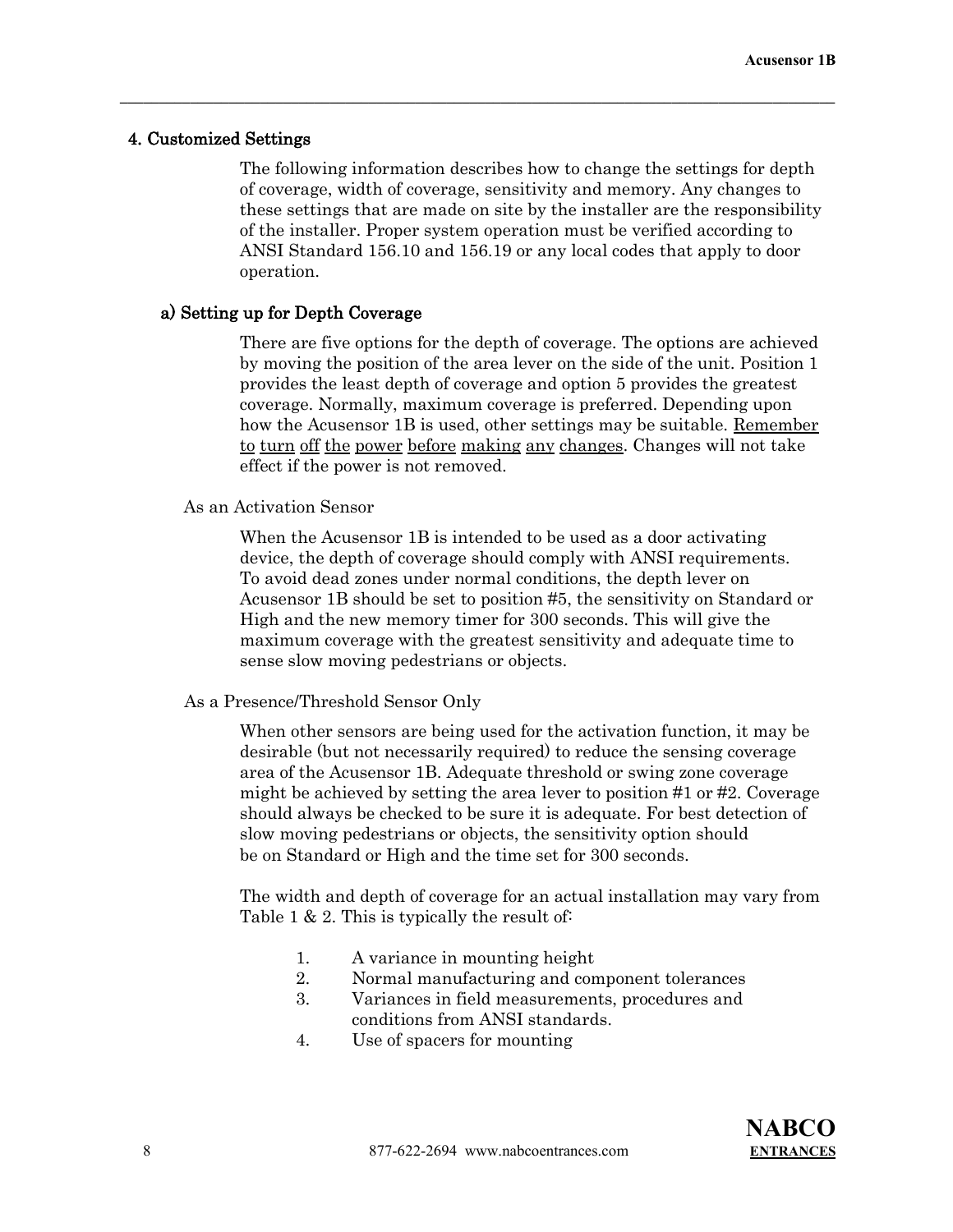#### 4. Customized Settings

The following information describes how to change the settings for depth of coverage, width of coverage, sensitivity and memory. Any changes to these settings that are made on site by the installer are the responsibility of the installer. Proper system operation must be verified according to ANSI Standard 156.10 and 156.19 or any local codes that apply to door operation.

 $\mathcal{L} = \{ \mathcal{L} \mathcal{L} \mathcal{L} \mathcal{L} \mathcal{L} \mathcal{L} \mathcal{L} \mathcal{L} \mathcal{L} \mathcal{L} \mathcal{L} \mathcal{L} \mathcal{L} \mathcal{L} \mathcal{L} \mathcal{L} \mathcal{L} \mathcal{L} \mathcal{L} \mathcal{L} \mathcal{L} \mathcal{L} \mathcal{L} \mathcal{L} \mathcal{L} \mathcal{L} \mathcal{L} \mathcal{L} \mathcal{L} \mathcal{L} \mathcal{L} \mathcal{L} \mathcal{L} \mathcal{L} \mathcal{L} \$ 

#### a) Setting up for Depth Coverage

 There are five options for the depth of coverage. The options are achieved by moving the position of the area lever on the side of the unit. Position 1 provides the least depth of coverage and option 5 provides the greatest coverage. Normally, maximum coverage is preferred. Depending upon how the Acusensor 1B is used, other settings may be suitable. Remember to turn off the power before making any changes. Changes will not take effect if the power is not removed.

#### As an Activation Sensor

When the Acusensor 1B is intended to be used as a door activating device, the depth of coverage should comply with ANSI requirements. To avoid dead zones under normal conditions, the depth lever on Acusensor 1B should be set to position #5, the sensitivity on Standard or High and the new memory timer for 300 seconds. This will give the maximum coverage with the greatest sensitivity and adequate time to sense slow moving pedestrians or objects.

#### As a Presence/Threshold Sensor Only

When other sensors are being used for the activation function, it may be desirable (but not necessarily required) to reduce the sensing coverage area of the Acusensor 1B. Adequate threshold or swing zone coverage might be achieved by setting the area lever to position #1 or #2. Coverage should always be checked to be sure it is adequate. For best detection of slow moving pedestrians or objects, the sensitivity option should be on Standard or High and the time set for 300 seconds.

The width and depth of coverage for an actual installation may vary from Table 1 & 2. This is typically the result of:

- 1. A variance in mounting height
- 2. Normal manufacturing and component tolerances
- 3. Variances in field measurements, procedures and conditions from ANSI standards.
- 4. Use of spacers for mounting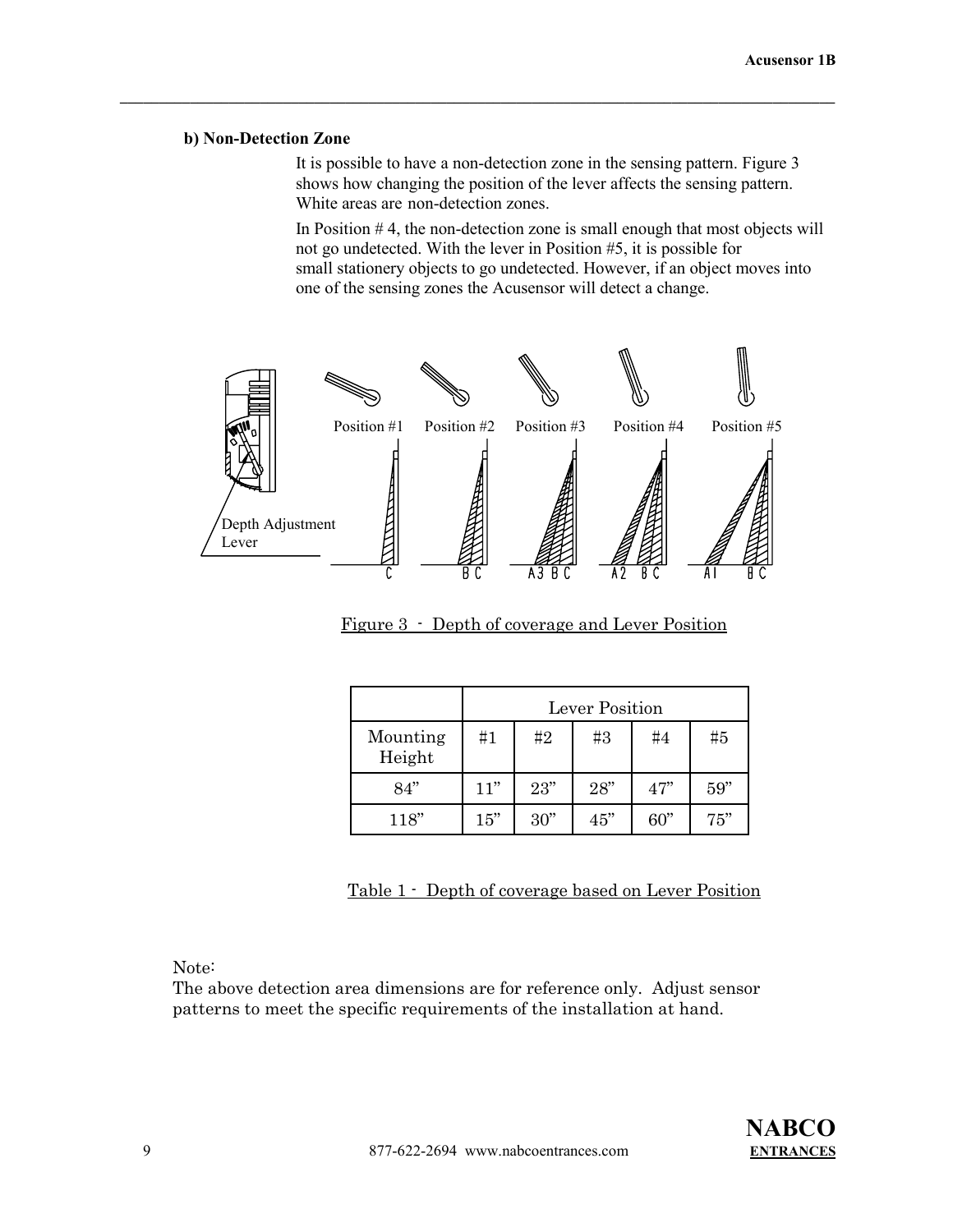#### **b) Non-Detection Zone**

It is possible to have a non-detection zone in the sensing pattern. Figure 3 shows how changing the position of the lever affects the sensing pattern. White areas are non-detection zones.

In Position # 4, the non-detection zone is small enough that most objects will not go undetected. With the lever in Position #5, it is possible for small stationery objects to go undetected. However, if an object moves into one of the sensing zones the Acusensor will detect a change.



 $\mathcal{L} = \{ \mathcal{L} \mathcal{L} \mathcal{L} \mathcal{L} \mathcal{L} \mathcal{L} \mathcal{L} \mathcal{L} \mathcal{L} \mathcal{L} \mathcal{L} \mathcal{L} \mathcal{L} \mathcal{L} \mathcal{L} \mathcal{L} \mathcal{L} \mathcal{L} \mathcal{L} \mathcal{L} \mathcal{L} \mathcal{L} \mathcal{L} \mathcal{L} \mathcal{L} \mathcal{L} \mathcal{L} \mathcal{L} \mathcal{L} \mathcal{L} \mathcal{L} \mathcal{L} \mathcal{L} \mathcal{L} \mathcal{L} \$ 

Figure 3 - Depth of coverage and Lever Position

|                    | Lever Position |     |     |       |     |
|--------------------|----------------|-----|-----|-------|-----|
| Mounting<br>Height | #1             | #2  | #3  | # $4$ | #5  |
| 84"                | 11"            | 23" | 28" | 47"   | 59" |
| 118"               | 15"            | 30" | 45" | 60"   | 75" |

Table 1 - Depth of coverage based on Lever Position

Note:

The above detection area dimensions are for reference only. Adjust sensor patterns to meet the specific requirements of the installation at hand.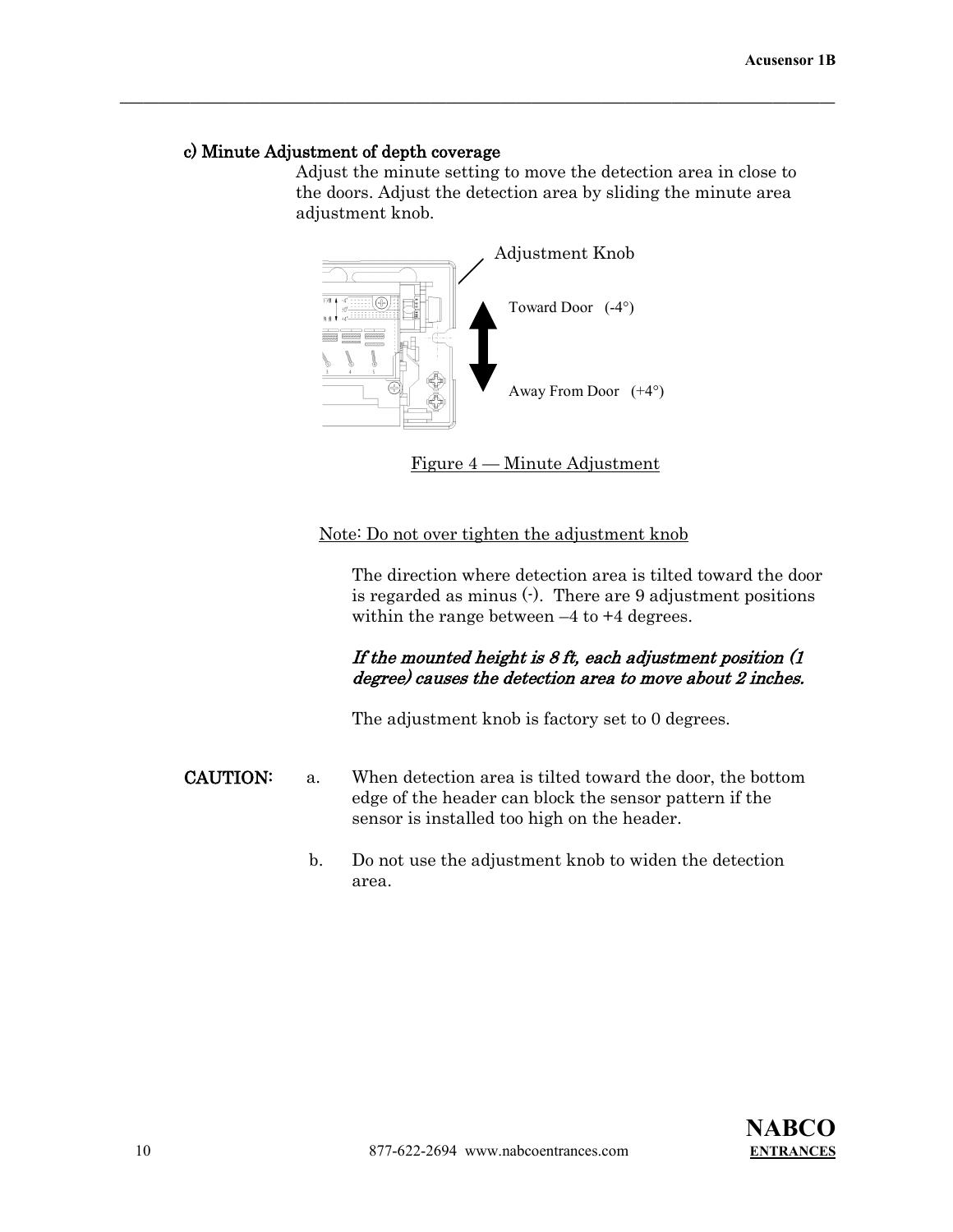# c) Minute Adjustment of depth coverage

 Adjust the minute setting to move the detection area in close to the doors. Adjust the detection area by sliding the minute area adjustment knob.



 $\mathcal{L} = \{ \mathcal{L} \mathcal{L} \mathcal{L} \mathcal{L} \mathcal{L} \mathcal{L} \mathcal{L} \mathcal{L} \mathcal{L} \mathcal{L} \mathcal{L} \mathcal{L} \mathcal{L} \mathcal{L} \mathcal{L} \mathcal{L} \mathcal{L} \mathcal{L} \mathcal{L} \mathcal{L} \mathcal{L} \mathcal{L} \mathcal{L} \mathcal{L} \mathcal{L} \mathcal{L} \mathcal{L} \mathcal{L} \mathcal{L} \mathcal{L} \mathcal{L} \mathcal{L} \mathcal{L} \mathcal{L} \mathcal{L} \$ 

Figure 4 — Minute Adjustment

# Note: Do not over tighten the adjustment knob

The direction where detection area is tilted toward the door is regarded as minus  $\left(\cdot\right)$ . There are 9 adjustment positions within the range between  $-4$  to  $+4$  degrees.

# If the mounted height is 8 ft, each adjustment position (1 degree) causes the detection area to move about 2 inches.

The adjustment knob is factory set to 0 degrees.

- CAUTION: a. When detection area is tilted toward the door, the bottom edge of the header can block the sensor pattern if the sensor is installed too high on the header.
	- b. Do not use the adjustment knob to widen the detection area.

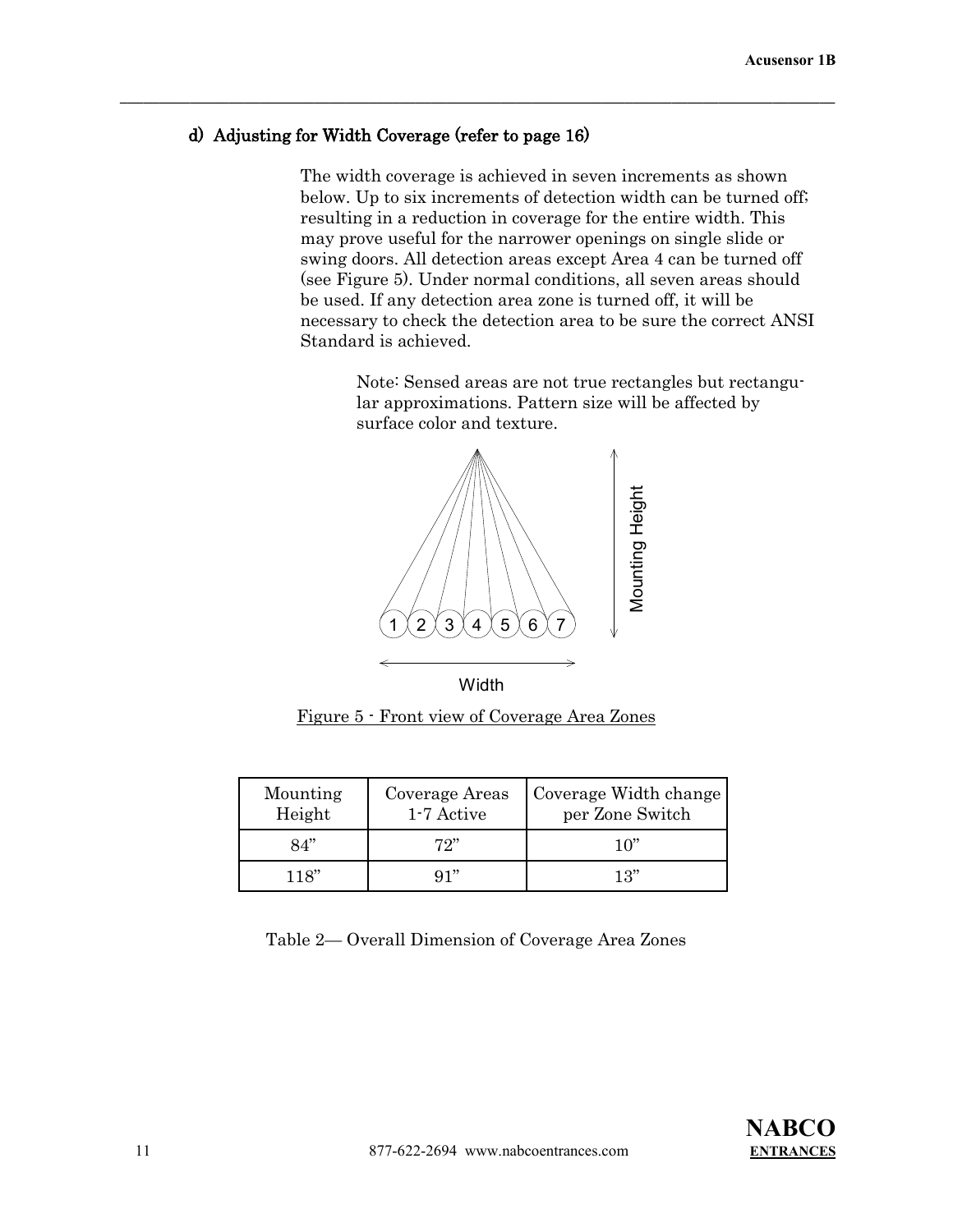# d) Adjusting for Width Coverage (refer to page 16)

 $\mathcal{L} = \{ \mathcal{L} \mathcal{L} \mathcal{L} \mathcal{L} \mathcal{L} \mathcal{L} \mathcal{L} \mathcal{L} \mathcal{L} \mathcal{L} \mathcal{L} \mathcal{L} \mathcal{L} \mathcal{L} \mathcal{L} \mathcal{L} \mathcal{L} \mathcal{L} \mathcal{L} \mathcal{L} \mathcal{L} \mathcal{L} \mathcal{L} \mathcal{L} \mathcal{L} \mathcal{L} \mathcal{L} \mathcal{L} \mathcal{L} \mathcal{L} \mathcal{L} \mathcal{L} \mathcal{L} \mathcal{L} \mathcal{L} \$ 

 The width coverage is achieved in seven increments as shown below. Up to six increments of detection width can be turned off; resulting in a reduction in coverage for the entire width. This may prove useful for the narrower openings on single slide or swing doors. All detection areas except Area 4 can be turned off (see Figure 5). Under normal conditions, all seven areas should be used. If any detection area zone is turned off, it will be necessary to check the detection area to be sure the correct ANSI Standard is achieved.

> Note: Sensed areas are not true rectangles but rectangular approximations. Pattern size will be affected by surface color and texture.



Figure 5 - Front view of Coverage Area Zones

| Mounting<br>Height | Coverage Areas<br>1-7 Active | Coverage Width change<br>per Zone Switch |
|--------------------|------------------------------|------------------------------------------|
| 84"                | 72"                          | 10"                                      |
| 118"               | Q1"                          | 13"                                      |

Table 2— Overall Dimension of Coverage Area Zones

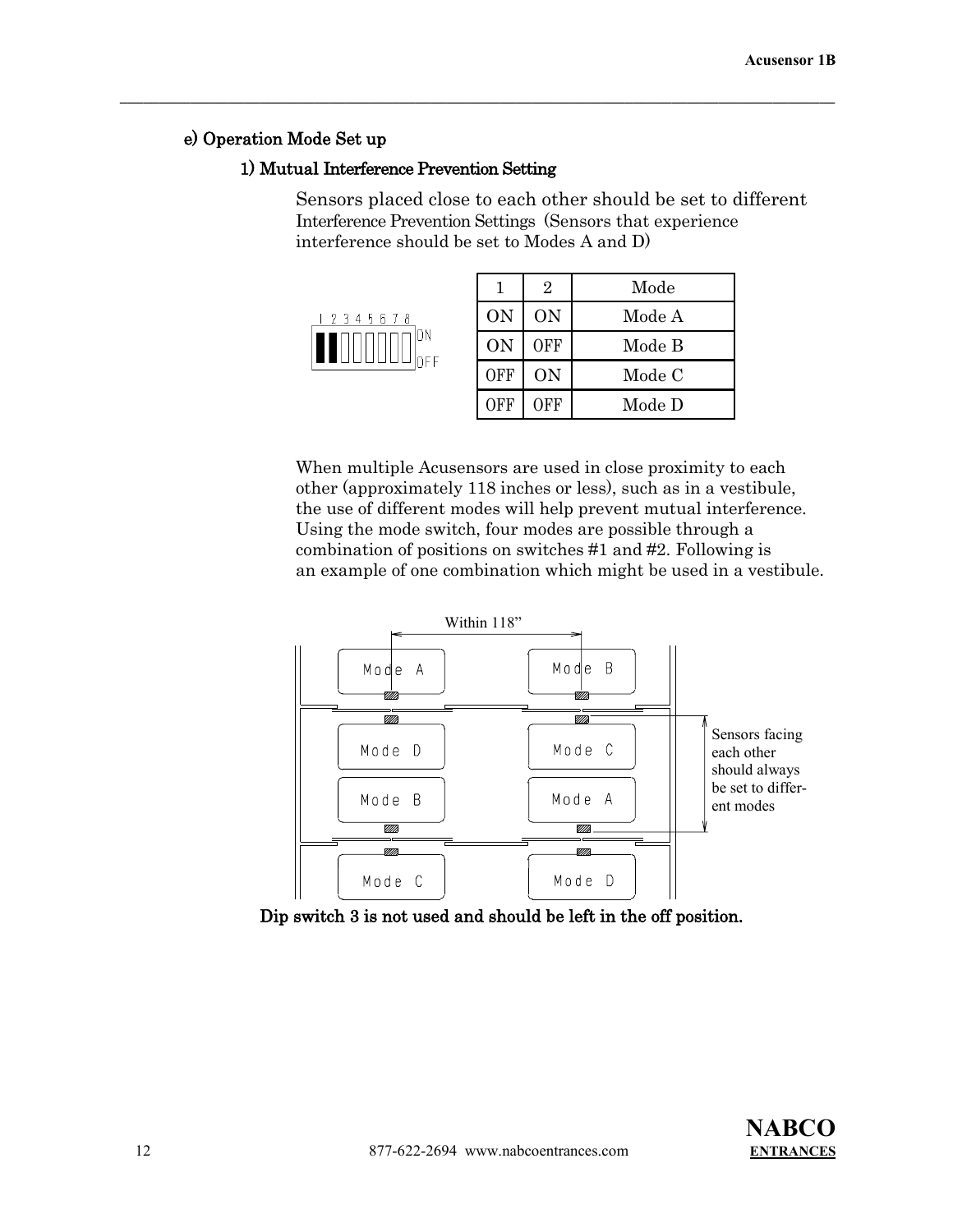# e) Operation Mode Set up

# 1) Mutual Interference Prevention Setting

 $\mathcal{L} = \{ \mathcal{L} \mathcal{L} \mathcal{L} \mathcal{L} \mathcal{L} \mathcal{L} \mathcal{L} \mathcal{L} \mathcal{L} \mathcal{L} \mathcal{L} \mathcal{L} \mathcal{L} \mathcal{L} \mathcal{L} \mathcal{L} \mathcal{L} \mathcal{L} \mathcal{L} \mathcal{L} \mathcal{L} \mathcal{L} \mathcal{L} \mathcal{L} \mathcal{L} \mathcal{L} \mathcal{L} \mathcal{L} \mathcal{L} \mathcal{L} \mathcal{L} \mathcal{L} \mathcal{L} \mathcal{L} \mathcal{L} \$ 

Sensors placed close to each other should be set to different Interference Prevention Settings (Sensors that experience interference should be set to Modes A and D)

|  |  | 12345678 |  |                                                |
|--|--|----------|--|------------------------------------------------|
|  |  |          |  | $\left \prod_{\text{off}}\right _{\text{off}}$ |

|            | 2          | Mode   |
|------------|------------|--------|
| <b>ON</b>  | <b>ON</b>  | Mode A |
| <b>ON</b>  | <b>OFF</b> | Mode B |
| <b>OFF</b> | <b>ON</b>  | Mode C |
| OFF        | <b>OFF</b> | Mode D |

 When multiple Acusensors are used in close proximity to each other (approximately 118 inches or less), such as in a vestibule, the use of different modes will help prevent mutual interference. Using the mode switch, four modes are possible through a combination of positions on switches #1 and #2. Following is an example of one combination which might be used in a vestibule.



Dip switch 3 is not used and should be left in the off position.

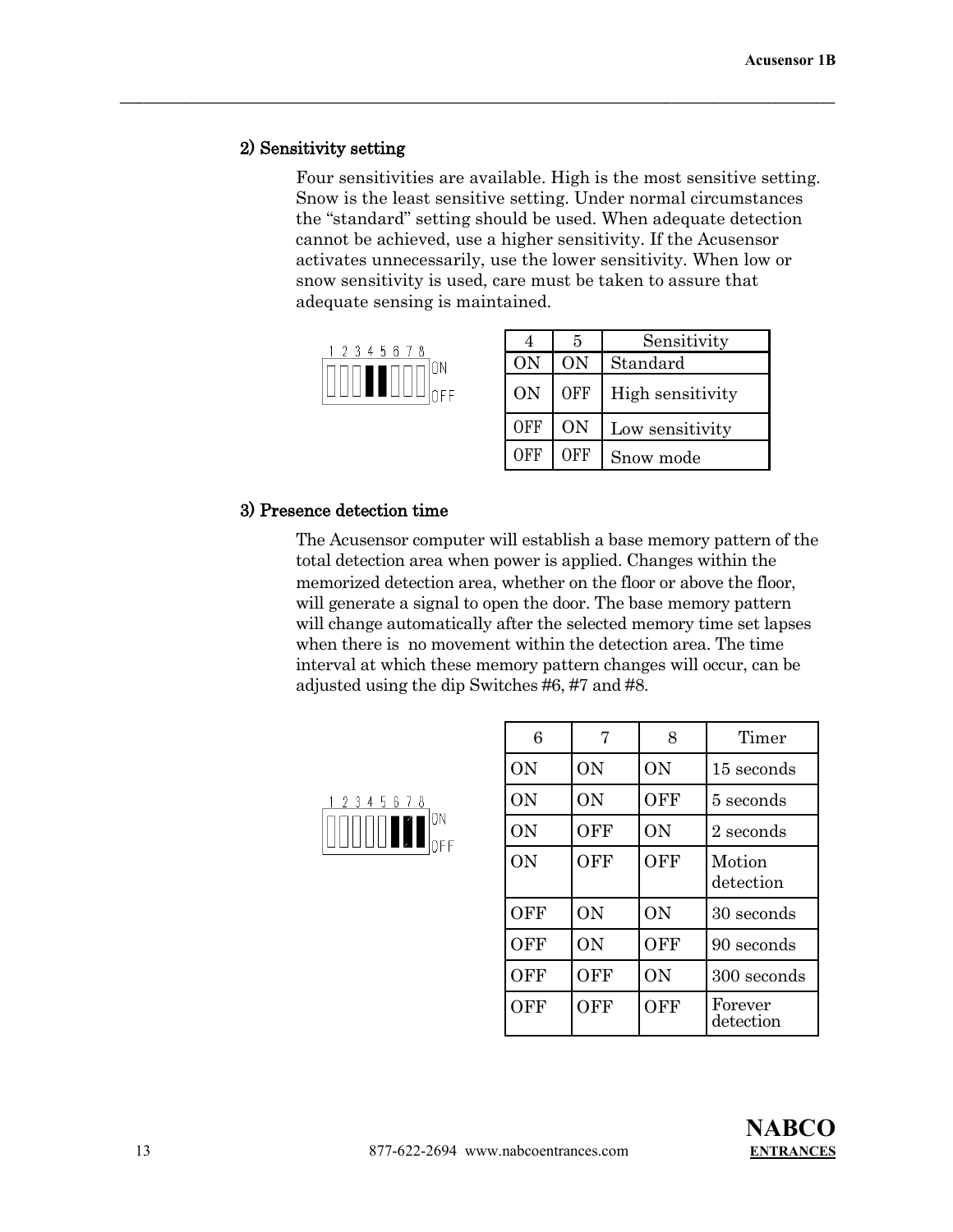#### 2) Sensitivity setting

 Four sensitivities are available. High is the most sensitive setting. Snow is the least sensitive setting. Under normal circumstances the "standard" setting should be used. When adequate detection cannot be achieved, use a higher sensitivity. If the Acusensor activates unnecessarily, use the lower sensitivity. When low or snow sensitivity is used, care must be taken to assure that adequate sensing is maintained.

 $\mathcal{L} = \{ \mathcal{L} \mathcal{L} \mathcal{L} \mathcal{L} \mathcal{L} \mathcal{L} \mathcal{L} \mathcal{L} \mathcal{L} \mathcal{L} \mathcal{L} \mathcal{L} \mathcal{L} \mathcal{L} \mathcal{L} \mathcal{L} \mathcal{L} \mathcal{L} \mathcal{L} \mathcal{L} \mathcal{L} \mathcal{L} \mathcal{L} \mathcal{L} \mathcal{L} \mathcal{L} \mathcal{L} \mathcal{L} \mathcal{L} \mathcal{L} \mathcal{L} \mathcal{L} \mathcal{L} \mathcal{L} \mathcal{L} \$ 



|           | 5          | Sensitivity      |
|-----------|------------|------------------|
| <b>ON</b> | <b>ON</b>  | Standard         |
| <b>ON</b> | <b>OFF</b> | High sensitivity |
| OFF       | ON         | Low sensitivity  |
| OFF       | OFF        | Snow mode        |

# 3) Presence detection time

 The Acusensor computer will establish a base memory pattern of the total detection area when power is applied. Changes within the memorized detection area, whether on the floor or above the floor, will generate a signal to open the door. The base memory pattern will change automatically after the selected memory time set lapses when there is no movement within the detection area. The time interval at which these memory pattern changes will occur, can be adjusted using the dip Switches #6, #7 and #8.



| 6          | 7          | 8          | Timer                |
|------------|------------|------------|----------------------|
| <b>ON</b>  | <b>ON</b>  | <b>ON</b>  | 15 seconds           |
| ON         | <b>ON</b>  | <b>OFF</b> | 5 seconds            |
| ON         | <b>OFF</b> | <b>ON</b>  | 2 seconds            |
| ON         | OFF        | OFF        | Motion<br>detection  |
| <b>OFF</b> | ON         | ON         | 30 seconds           |
| <b>OFF</b> | <b>ON</b>  | <b>OFF</b> | 90 seconds           |
| <b>OFF</b> | <b>OFF</b> | ON         | 300 seconds          |
| <b>OFF</b> | OFF        | OFF        | Forever<br>detection |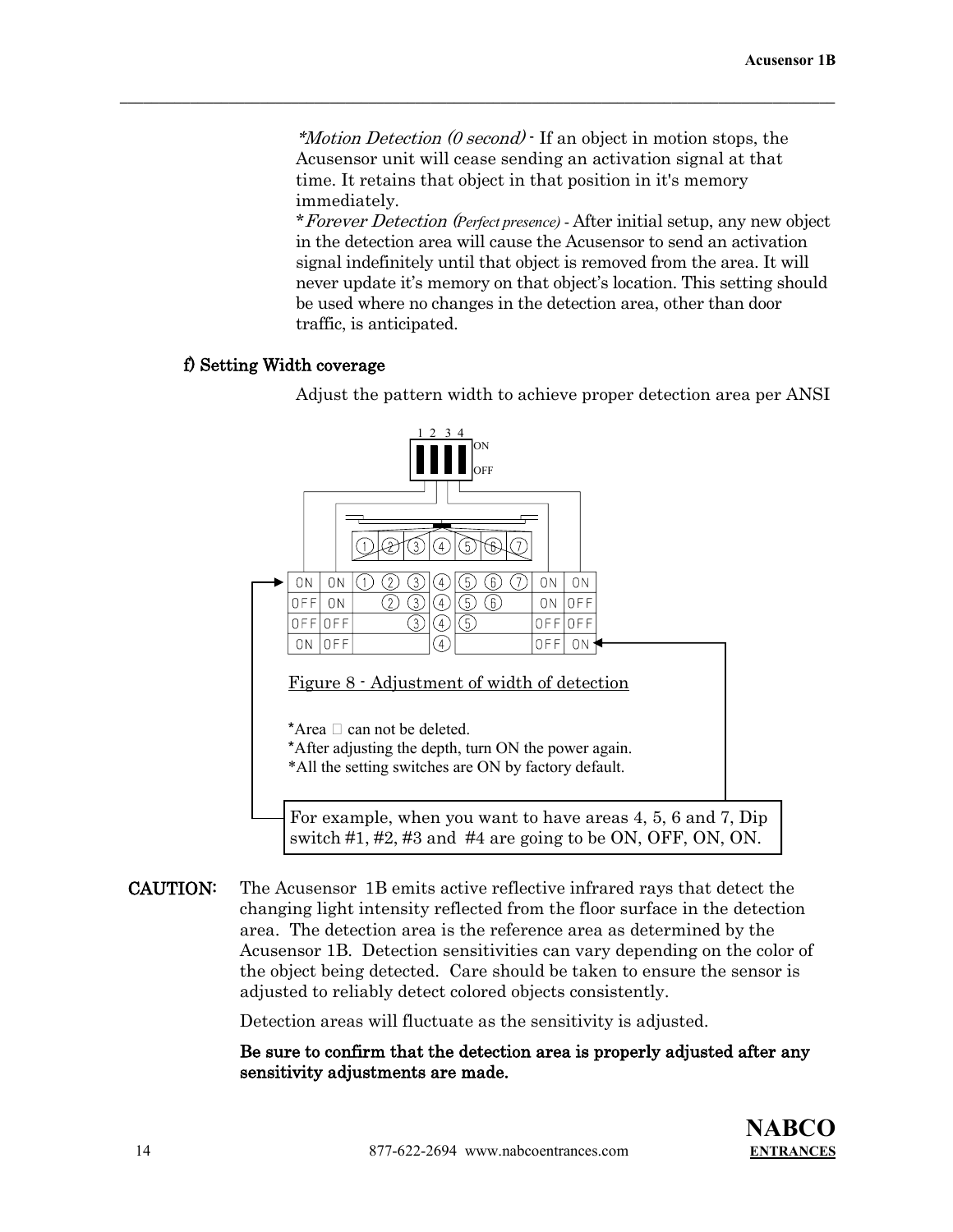$*Motion Detection (0 second)$  If an object in motion stops, the Acusensor unit will cease sending an activation signal at that time. It retains that object in that position in it's memory immediately.

 $\mathcal{L} = \{ \mathcal{L} \mathcal{L} \mathcal{L} \mathcal{L} \mathcal{L} \mathcal{L} \mathcal{L} \mathcal{L} \mathcal{L} \mathcal{L} \mathcal{L} \mathcal{L} \mathcal{L} \mathcal{L} \mathcal{L} \mathcal{L} \mathcal{L} \mathcal{L} \mathcal{L} \mathcal{L} \mathcal{L} \mathcal{L} \mathcal{L} \mathcal{L} \mathcal{L} \mathcal{L} \mathcal{L} \mathcal{L} \mathcal{L} \mathcal{L} \mathcal{L} \mathcal{L} \mathcal{L} \mathcal{L} \mathcal{L} \$ 

\*Forever Detection (*Perfect presence)* - After initial setup, any new object in the detection area will cause the Acusensor to send an activation signal indefinitely until that object is removed from the area. It will never update it's memory on that object's location. This setting should be used where no changes in the detection area, other than door traffic, is anticipated.

## f) Setting Width coverage

Adjust the pattern width to achieve proper detection area per ANSI



CAUTION: The Acusensor 1B emits active reflective infrared rays that detect the changing light intensity reflected from the floor surface in the detection area. The detection area is the reference area as determined by the Acusensor 1B. Detection sensitivities can vary depending on the color of the object being detected. Care should be taken to ensure the sensor is adjusted to reliably detect colored objects consistently.

Detection areas will fluctuate as the sensitivity is adjusted.

Be sure to confirm that the detection area is properly adjusted after any sensitivity adjustments are made.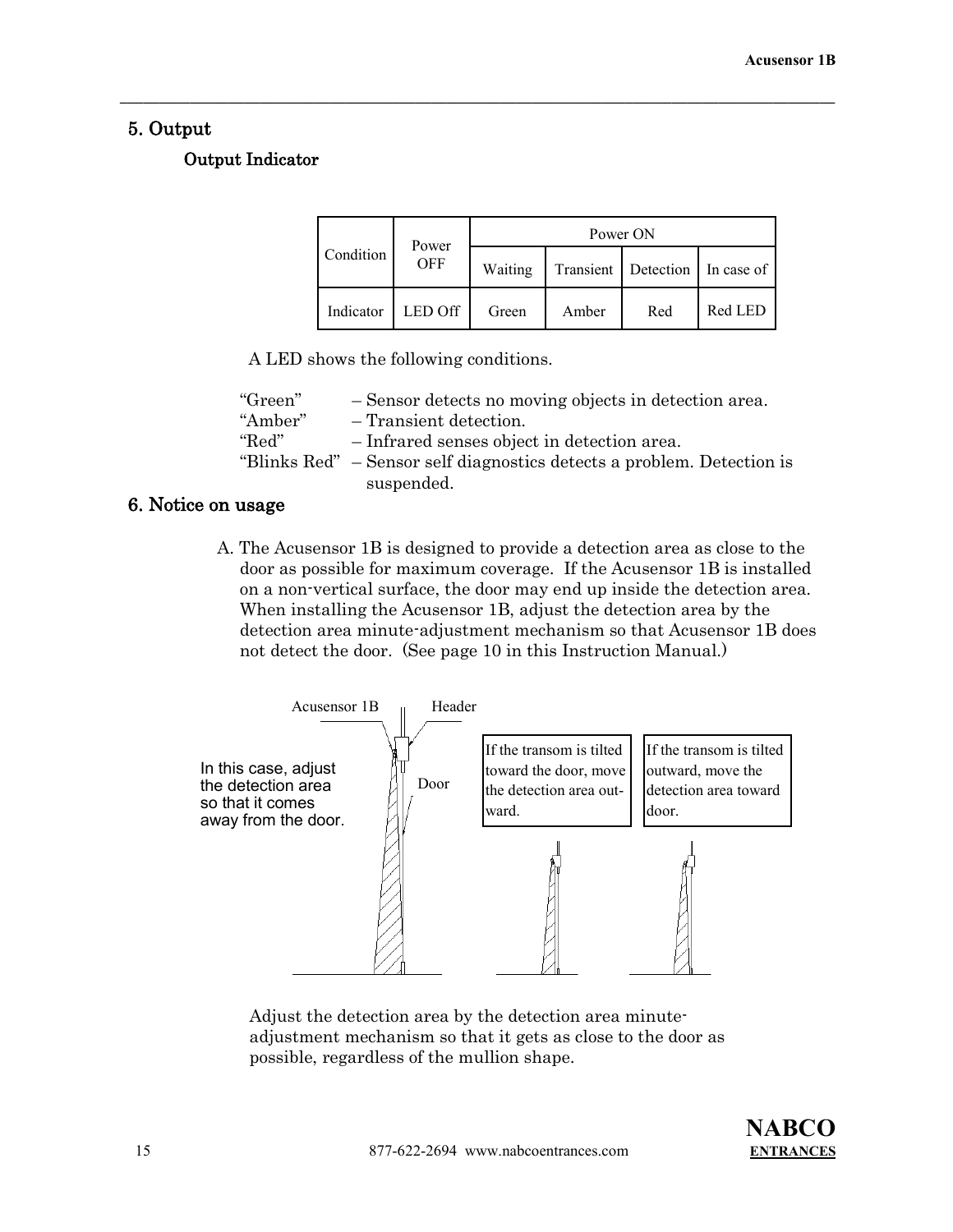# 5. Output

# Output Indicator

|  | Power<br>Condition<br><b>OFF</b> |         | Power ON |       |                                |         |
|--|----------------------------------|---------|----------|-------|--------------------------------|---------|
|  |                                  |         | Waiting  |       | Transient Detection In case of |         |
|  | Indicator                        | LED Off | Green    | Amber | Red                            | Red LED |

 $\mathcal{L} = \{ \mathcal{L} \mathcal{L} \mathcal{L} \mathcal{L} \mathcal{L} \mathcal{L} \mathcal{L} \mathcal{L} \mathcal{L} \mathcal{L} \mathcal{L} \mathcal{L} \mathcal{L} \mathcal{L} \mathcal{L} \mathcal{L} \mathcal{L} \mathcal{L} \mathcal{L} \mathcal{L} \mathcal{L} \mathcal{L} \mathcal{L} \mathcal{L} \mathcal{L} \mathcal{L} \mathcal{L} \mathcal{L} \mathcal{L} \mathcal{L} \mathcal{L} \mathcal{L} \mathcal{L} \mathcal{L} \mathcal{L} \$ 

A LED shows the following conditions.

| "Green" | - Sensor detects no moving objects in detection area.                  |
|---------|------------------------------------------------------------------------|
| "Amber" | - Transient detection.                                                 |
| "Red"   | - Infrared senses object in detection area.                            |
|         | "Blinks Red" – Sensor self diagnostics detects a problem. Detection is |
|         | suspended.                                                             |

# 6. Notice on usage

 A. The Acusensor 1B is designed to provide a detection area as close to the door as possible for maximum coverage. If the Acusensor 1B is installed on a non-vertical surface, the door may end up inside the detection area. When installing the Acusensor 1B, adjust the detection area by the detection area minute-adjustment mechanism so that Acusensor 1B does not detect the door. (See page 10 in this Instruction Manual.)



Adjust the detection area by the detection area minuteadjustment mechanism so that it gets as close to the door as possible, regardless of the mullion shape.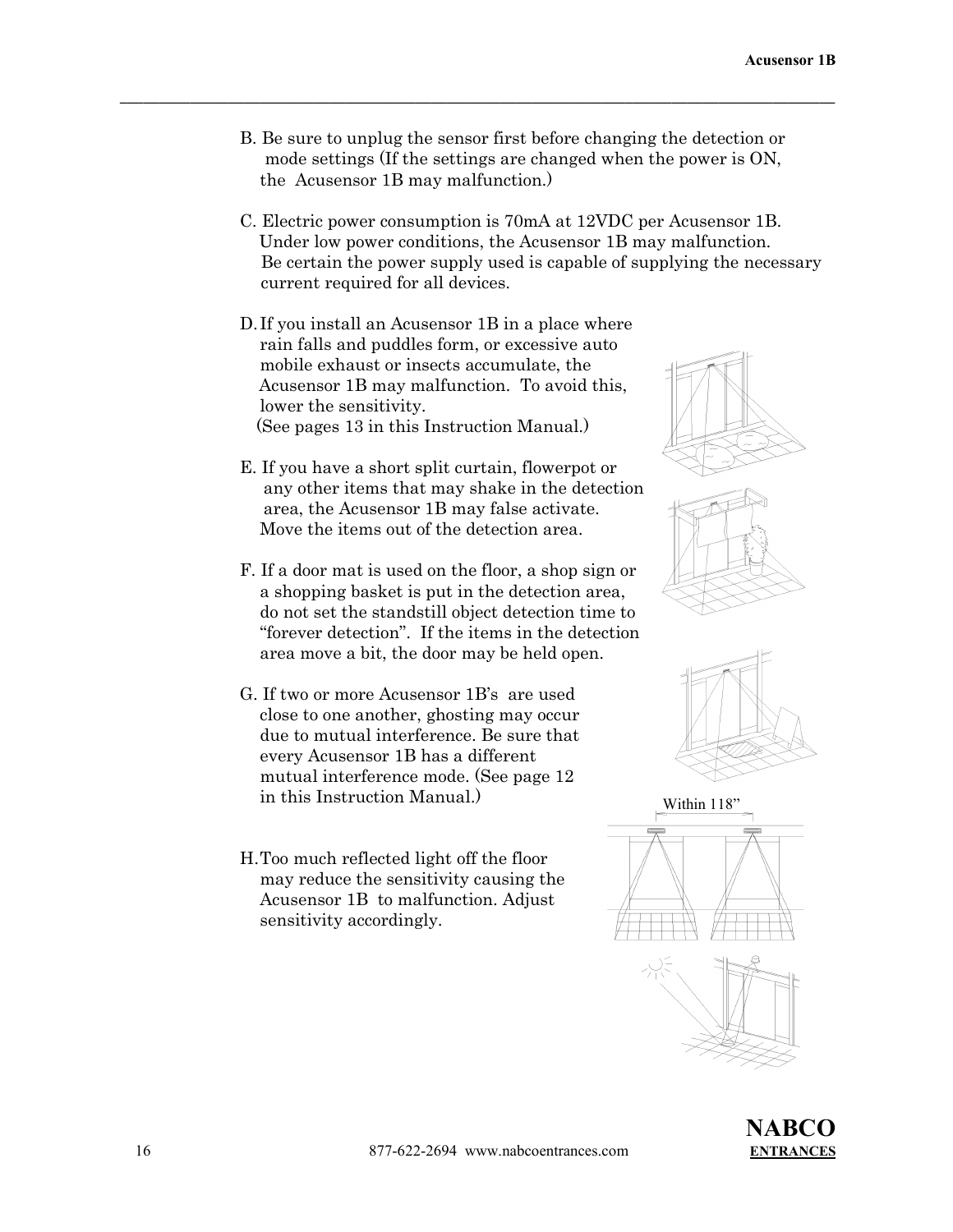B. Be sure to unplug the sensor first before changing the detection or mode settings (If the settings are changed when the power is ON, the Acusensor 1B may malfunction.)

- C. Electric power consumption is 70mA at 12VDC per Acusensor 1B. Under low power conditions, the Acusensor 1B may malfunction. Be certain the power supply used is capable of supplying the necessary current required for all devices.
- D. If you install an Acusensor 1B in a place where rain falls and puddles form, or excessive auto mobile exhaust or insects accumulate, the Acusensor 1B may malfunction. To avoid this, lower the sensitivity. (See pages 13 in this Instruction Manual.)
- E. If you have a short split curtain, flowerpot or any other items that may shake in the detection area, the Acusensor 1B may false activate. Move the items out of the detection area.
- F. If a door mat is used on the floor, a shop sign or a shopping basket is put in the detection area, do not set the standstill object detection time to "forever detection". If the items in the detection area move a bit, the door may be held open.
- G. If two or more Acusensor 1B's are used close to one another, ghosting may occur due to mutual interference. Be sure that every Acusensor 1B has a different mutual interference mode. (See page 12 in this Instruction Manual.)
- H.Too much reflected light off the floor may reduce the sensitivity causing the Acusensor 1B to malfunction. Adjust sensitivity accordingly.





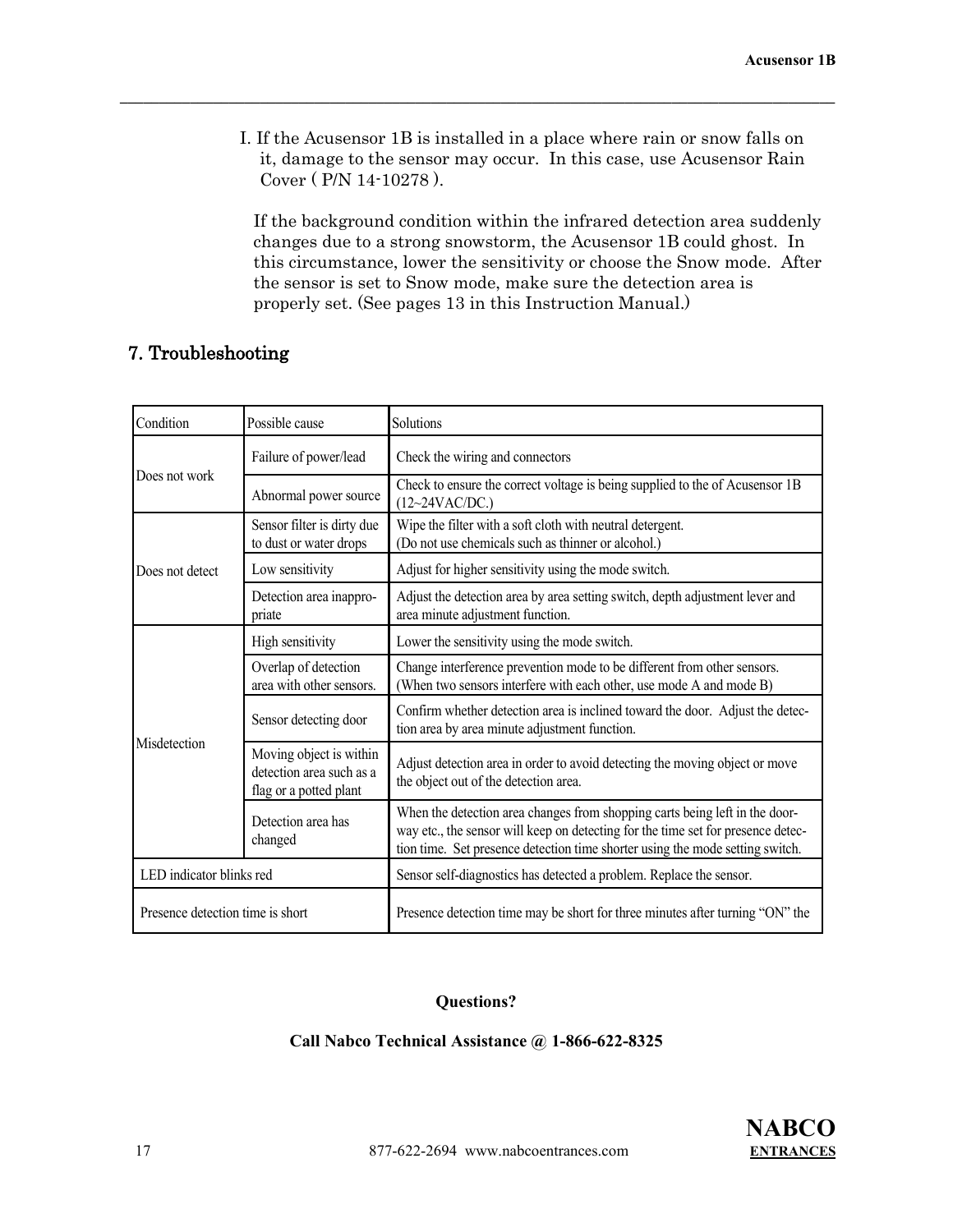I. If the Acusensor 1B is installed in a place where rain or snow falls on it, damage to the sensor may occur. In this case, use Acusensor Rain Cover ( P/N 14-10278 ).

 $\mathcal{L} = \{ \mathcal{L} \mathcal{L} \mathcal{L} \mathcal{L} \mathcal{L} \mathcal{L} \mathcal{L} \mathcal{L} \mathcal{L} \mathcal{L} \mathcal{L} \mathcal{L} \mathcal{L} \mathcal{L} \mathcal{L} \mathcal{L} \mathcal{L} \mathcal{L} \mathcal{L} \mathcal{L} \mathcal{L} \mathcal{L} \mathcal{L} \mathcal{L} \mathcal{L} \mathcal{L} \mathcal{L} \mathcal{L} \mathcal{L} \mathcal{L} \mathcal{L} \mathcal{L} \mathcal{L} \mathcal{L} \mathcal{L} \$ 

If the background condition within the infrared detection area suddenly changes due to a strong snowstorm, the Acusensor 1B could ghost. In this circumstance, lower the sensitivity or choose the Snow mode. After the sensor is set to Snow mode, make sure the detection area is properly set. (See pages 13 in this Instruction Manual.)

# 7. Troubleshooting

| Condition                        | Possible cause                                                                | Solutions                                                                                                                                                                                                                                        |
|----------------------------------|-------------------------------------------------------------------------------|--------------------------------------------------------------------------------------------------------------------------------------------------------------------------------------------------------------------------------------------------|
|                                  | Failure of power/lead                                                         | Check the wiring and connectors                                                                                                                                                                                                                  |
| Does not work                    | Abnormal power source                                                         | Check to ensure the correct voltage is being supplied to the of Acusensor 1B<br>(12~24VAC/DC.)                                                                                                                                                   |
|                                  | Sensor filter is dirty due<br>to dust or water drops                          | Wipe the filter with a soft cloth with neutral detergent.<br>(Do not use chemicals such as thinner or alcohol.)                                                                                                                                  |
| Does not detect                  | Low sensitivity                                                               | Adjust for higher sensitivity using the mode switch.                                                                                                                                                                                             |
|                                  | Detection area inappro-<br>priate                                             | Adjust the detection area by area setting switch, depth adjustment lever and<br>area minute adjustment function.                                                                                                                                 |
|                                  | High sensitivity                                                              | Lower the sensitivity using the mode switch.                                                                                                                                                                                                     |
|                                  | Overlap of detection<br>area with other sensors.                              | Change interference prevention mode to be different from other sensors.<br>(When two sensors interfere with each other, use mode A and mode B)                                                                                                   |
|                                  | Sensor detecting door                                                         | Confirm whether detection area is inclined toward the door. Adjust the detec-<br>tion area by area minute adjustment function.                                                                                                                   |
| Misdetection                     | Moving object is within<br>detection area such as a<br>flag or a potted plant | Adjust detection area in order to avoid detecting the moving object or move<br>the object out of the detection area.                                                                                                                             |
|                                  | Detection area has<br>changed                                                 | When the detection area changes from shopping carts being left in the door-<br>way etc., the sensor will keep on detecting for the time set for presence detec-<br>tion time. Set presence detection time shorter using the mode setting switch. |
| LED indicator blinks red         |                                                                               | Sensor self-diagnostics has detected a problem. Replace the sensor.                                                                                                                                                                              |
| Presence detection time is short |                                                                               | Presence detection time may be short for three minutes after turning "ON" the                                                                                                                                                                    |

# **Questions?**

#### **Call Nabco Technical Assistance @ 1-866-622-8325**